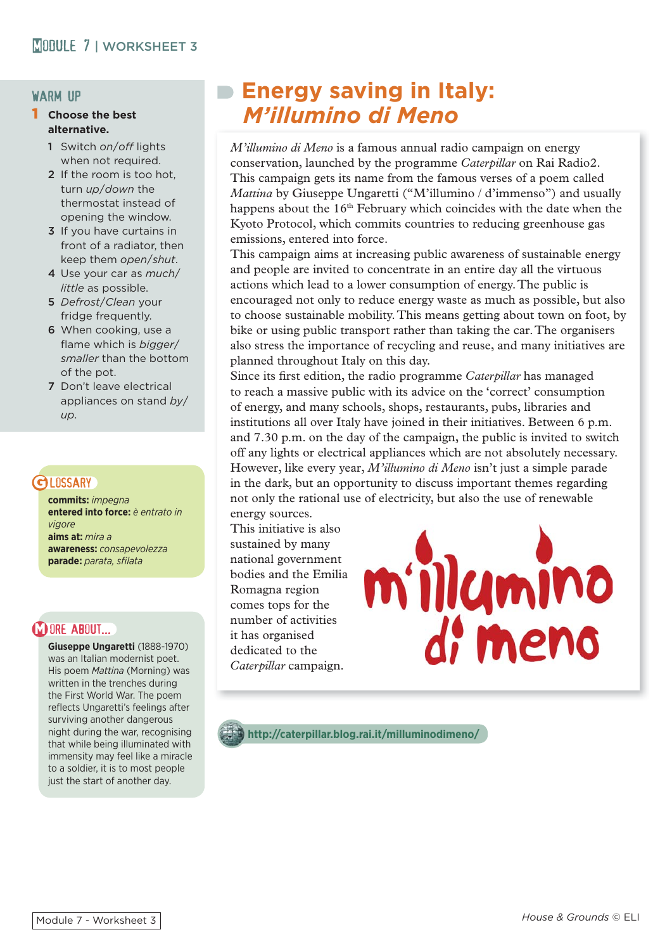### warm up

#### 1 **Choose the best alternative.**

- 1 Switch *on*/*off* lights when not required.
- 2 If the room is too hot. turn *up*/*down* the thermostat instead of opening the window.
- 3 If you have curtains in front of a radiator, then keep them *open*/*shut*.
- 4 Use your car as *much*/ *little* as possible.
- 5 *Defrost*/*Clean* your fridge frequently.
- 6 When cooking, use a flame which is *bigger*/ *smaller* than the bottom of the pot.
- 7 Don't leave electrical appliances on stand *by*/ *up*.

## **GLOSSARY**

**commits:** *impegna* **entered into force:** *è entrato in vigore*  **aims at:** *mira a* **awareness:** *consapevolezza* **parade:** *parata, sfi lata*

# **M ORE ABOUT...**

**Giuseppe Ungaretti** (1888-1970) was an Italian modernist poet. His poem *Mattina* (Morning) was written in the trenches during the First World War. The poem reflects Ungaretti's feelings after surviving another dangerous night during the war, recognising that while being illuminated with immensity may feel like a miracle to a soldier, it is to most people just the start of another day.

# **Energy saving in Italy:** *M'illumino di Meno*

*M'illumino di Meno* is a famous annual radio campaign on energy conservation, launched by the programme *Caterpillar* on Rai Radio2. This campaign gets its name from the famous verses of a poem called *Mattina* by Giuseppe Ungaretti ("M'illumino / d'immenso") and usually happens about the  $16<sup>th</sup>$  February which coincides with the date when the Kyoto Protocol, which commits countries to reducing greenhouse gas emissions, entered into force.

This campaign aims at increasing public awareness of sustainable energy and people are invited to concentrate in an entire day all the virtuous actions which lead to a lower consumption of energy. The public is encouraged not only to reduce energy waste as much as possible, but also to choose sustainable mobility. This means getting about town on foot, by bike or using public transport rather than taking the car. The organisers also stress the importance of recycling and reuse, and many initiatives are planned throughout Italy on this day.

Since its first edition, the radio programme *Caterpillar* has managed to reach a massive public with its advice on the 'correct' consumption of energy, and many schools, shops, restaurants, pubs, libraries and institutions all over Italy have joined in their initiatives. Between 6 p.m. and 7.30 p.m. on the day of the campaign, the public is invited to switch off any lights or electrical appliances which are not absolutely necessary. However, like every year, *M'illumino di Meno* isn't just a simple parade in the dark, but an opportunity to discuss important themes regarding not only the rational use of electricity, but also the use of renewable energy sources.

This initiative is also sustained by many national government bodies and the Emilia Romagna region comes tops for the number of activities it has organised dedicated to the *Caterpillar* campaign.



**http://caterpillar.blog.rai.it/milluminodimeno/**